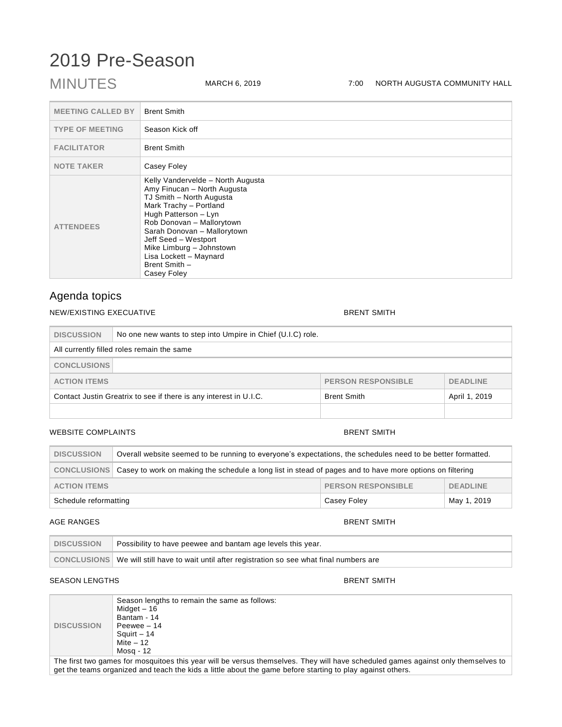# 2019 Pre-Season

### MINUTES MARCH 6, 2019 7:00 NORTH AUGUSTA COMMUNITY HALL

| <b>MEETING CALLED BY</b> | <b>Brent Smith</b>                                                                                                                                                                                                                                                                                                       |
|--------------------------|--------------------------------------------------------------------------------------------------------------------------------------------------------------------------------------------------------------------------------------------------------------------------------------------------------------------------|
| <b>TYPE OF MEETING</b>   | Season Kick off                                                                                                                                                                                                                                                                                                          |
| <b>FACILITATOR</b>       | <b>Brent Smith</b>                                                                                                                                                                                                                                                                                                       |
| <b>NOTE TAKER</b>        | Casey Foley                                                                                                                                                                                                                                                                                                              |
| <b>ATTENDEES</b>         | Kelly Vandervelde - North Augusta<br>Amy Finucan - North Augusta<br>TJ Smith - North Augusta<br>Mark Trachy - Portland<br>Hugh Patterson - Lyn<br>Rob Donovan - Mallorytown<br>Sarah Donovan - Mallorytown<br>Jeff Seed - Westport<br>Mike Limburg - Johnstown<br>Lisa Lockett - Maynard<br>Brent Smith -<br>Casey Foley |

### Agenda topics

#### NEW/EXISTING EXECUATIVE **BRENT SMITH**

| <b>DISCUSSION</b>                                                   | No one new wants to step into Umpire in Chief (U.I.C) role. |                    |               |  |
|---------------------------------------------------------------------|-------------------------------------------------------------|--------------------|---------------|--|
| All currently filled roles remain the same                          |                                                             |                    |               |  |
| <b>CONCLUSIONS</b>                                                  |                                                             |                    |               |  |
| <b>ACTION ITEMS</b><br><b>PERSON RESPONSIBLE</b><br><b>DEADLINE</b> |                                                             |                    |               |  |
| Contact Justin Greatrix to see if there is any interest in U.I.C.   |                                                             | <b>Brent Smith</b> | April 1, 2019 |  |
|                                                                     |                                                             |                    |               |  |

#### WEBSITE COMPLAINTS **BRENT SMITH**

## DISCUSSION **Overall website seemed to be running to everyone's expectations, the schedules need to be better formatted. CONCLUSIONS** Casey to work on making the schedule a long list in stead of pages and to have more options on filtering **ACTION ITEMS PERSON RESPONSIBLE DEADLINE** Schedule reformatting **Casey Foley** Casey Foley May 1, 2019

#### AGE RANGES **BRENT SMITH**

| <b>DISCUSSION</b> | Possibility to have peewee and bantam age levels this year.                                     |
|-------------------|-------------------------------------------------------------------------------------------------|
|                   | CONCLUSIONS   We will still have to wait until after registration so see what final numbers are |

### SEASON LENGTHS BRENT SMITH

|                   | Season lengths to remain the same as follows:<br>Midget - 16<br>Bantam - 14 |
|-------------------|-----------------------------------------------------------------------------|
| <b>DISCUSSION</b> | Peewee - 14                                                                 |
|                   | Squirt - 14                                                                 |
|                   | Mite – 12                                                                   |
|                   | Mosg - 12                                                                   |

The first two games for mosquitoes this year will be versus themselves. They will have scheduled games against only themselves to get the teams organized and teach the kids a little about the game before starting to play against others.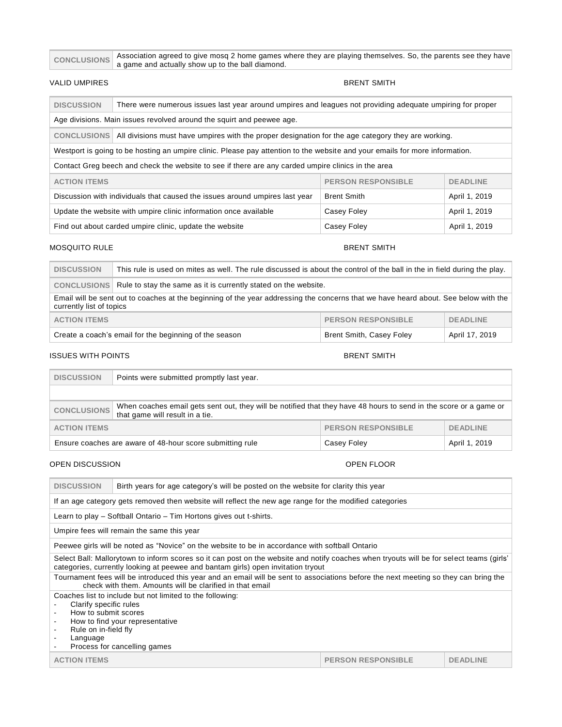|  | CONCLUSIONS Association agreed to give mosq 2 home games where they are playing themselves. So, the parents see they have |
|--|---------------------------------------------------------------------------------------------------------------------------|
|  | a game and actually show up to the ball diamond.                                                                          |

#### VALID UMPIRES **BRENT SMITH**

| <b>DISCUSSION</b>                                                                                                           | There were numerous issues last year around umpires and leagues not providing adequate umpiring for proper |  |  |  |  |
|-----------------------------------------------------------------------------------------------------------------------------|------------------------------------------------------------------------------------------------------------|--|--|--|--|
| Age divisions. Main issues revolved around the squirt and peewee age.                                                       |                                                                                                            |  |  |  |  |
| <b>CONCLUSIONS</b><br>All divisions must have umpires with the proper designation for the age category they are working.    |                                                                                                            |  |  |  |  |
| Westport is going to be hosting an umpire clinic. Please pay attention to the website and your emails for more information. |                                                                                                            |  |  |  |  |
| Contact Greg beech and check the website to see if there are any carded umpire clinics in the area                          |                                                                                                            |  |  |  |  |
| <b>PERSON RESPONSIBLE</b><br><b>DEADLINE</b><br><b>ACTION ITEMS</b>                                                         |                                                                                                            |  |  |  |  |
| <b>Brent Smith</b><br>Discussion with individuals that caused the issues around umpires last year<br>April 1, 2019          |                                                                                                            |  |  |  |  |
| Update the website with umpire clinic information once available<br>April 1, 2019<br>Casey Foley                            |                                                                                                            |  |  |  |  |
|                                                                                                                             | Find out about carded umpire clinic, update the website<br>Casey Foley<br>April 1, 2019                    |  |  |  |  |

### MOSQUITO RULE **BRENT SMITH**

| <b>DISCUSSION</b>                                                                                                                                               | This rule is used on mites as well. The rule discussed is about the control of the ball in the in field during the play. |                |  |  |
|-----------------------------------------------------------------------------------------------------------------------------------------------------------------|--------------------------------------------------------------------------------------------------------------------------|----------------|--|--|
|                                                                                                                                                                 | CONCLUSIONS Rule to stay the same as it is currently stated on the website.                                              |                |  |  |
| Email will be sent out to coaches at the beginning of the year addressing the concerns that we have heard about. See below with the<br>currently list of topics |                                                                                                                          |                |  |  |
| <b>PERSON RESPONSIBLE</b><br><b>ACTION ITEMS</b><br><b>DEADLINE</b>                                                                                             |                                                                                                                          |                |  |  |
| Create a coach's email for the beginning of the season<br><b>Brent Smith, Casey Foley</b>                                                                       |                                                                                                                          | April 17, 2019 |  |  |

#### ISSUES WITH POINTS AND RELATIONS OF A RELATIONS OF A RELATION OF A RELATION OF A RELATION OF A RELATION OF A R

 $\equiv$ 

| <b>DISCUSSION</b>                                                                                                                                                          | Points were submitted promptly last year. |  |  |
|----------------------------------------------------------------------------------------------------------------------------------------------------------------------------|-------------------------------------------|--|--|
|                                                                                                                                                                            |                                           |  |  |
| When coaches email gets sent out, they will be notified that they have 48 hours to send in the score or a game or<br><b>CONCLUSIONS</b><br>that game will result in a tie. |                                           |  |  |
| <b>PERSON RESPONSIBLE</b><br><b>ACTION ITEMS</b><br><b>DEADLINE</b>                                                                                                        |                                           |  |  |
| Ensure coaches are aware of 48-hour score submitting rule<br>April 1, 2019<br>Casey Foley                                                                                  |                                           |  |  |

### OPEN DISCUSSION OPEN FLOOR

| <b>DISCUSSION</b>                                                                                                                                                                                                            | Birth years for age category's will be posted on the website for clarity this year              |                           |                 |  |  |
|------------------------------------------------------------------------------------------------------------------------------------------------------------------------------------------------------------------------------|-------------------------------------------------------------------------------------------------|---------------------------|-----------------|--|--|
| If an age category gets removed then website will reflect the new age range for the modified categories                                                                                                                      |                                                                                                 |                           |                 |  |  |
|                                                                                                                                                                                                                              | Learn to play – Softball Ontario – Tim Hortons gives out t-shirts.                              |                           |                 |  |  |
|                                                                                                                                                                                                                              | Umpire fees will remain the same this year                                                      |                           |                 |  |  |
|                                                                                                                                                                                                                              | Peewee girls will be noted as "Novice" on the website to be in accordance with softball Ontario |                           |                 |  |  |
| Select Ball: Mallorytown to inform scores so it can post on the website and notify coaches when tryouts will be for select teams (girls'<br>categories, currently looking at peewee and bantam girls) open invitation tryout |                                                                                                 |                           |                 |  |  |
| Tournament fees will be introduced this year and an email will be sent to associations before the next meeting so they can bring the<br>check with them. Amounts will be clarified in that email                             |                                                                                                 |                           |                 |  |  |
| Coaches list to include but not limited to the following:<br>Clarify specific rules<br>How to submit scores<br>How to find your representative<br>Rule on in-field fly<br>Language<br>Process for cancelling games           |                                                                                                 |                           |                 |  |  |
| <b>ACTION ITEMS</b>                                                                                                                                                                                                          |                                                                                                 | <b>PERSON RESPONSIBLE</b> | <b>DEADLINE</b> |  |  |